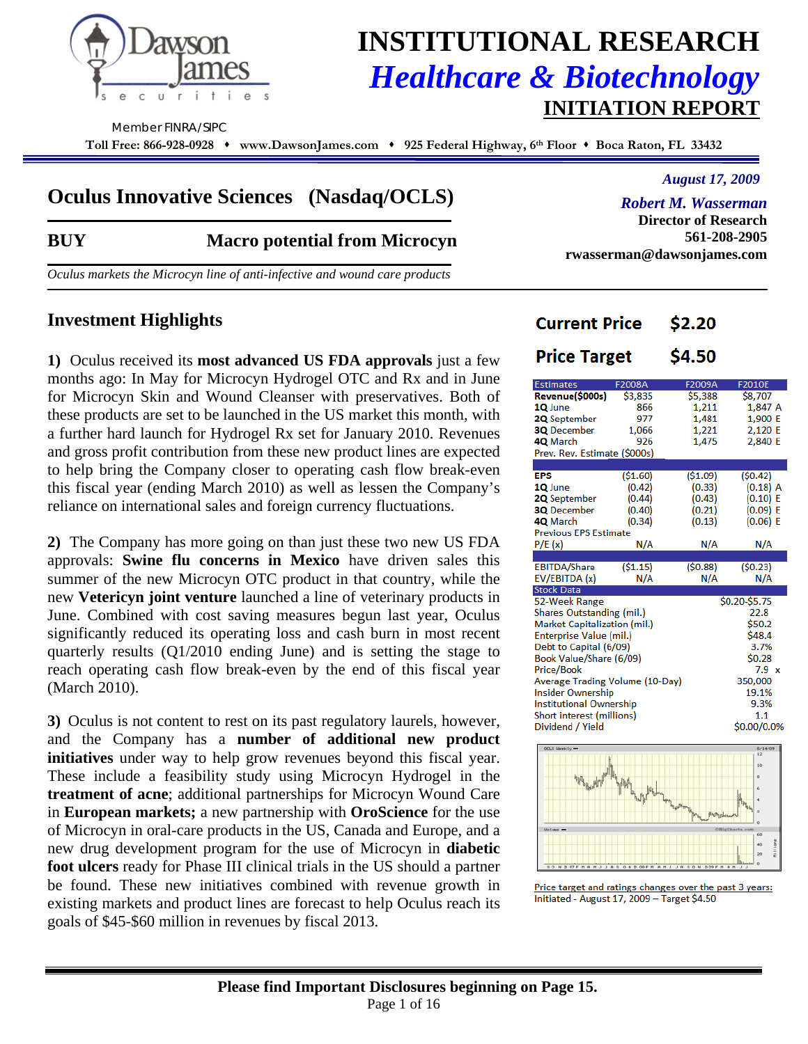

## **INSTITUTIONAL RESEARCH**  *Healthcare & Biotechnology* **INITIATION REPORT**

Member FINRA/SIPC

**Toll Free: 866-928-0928 www.DawsonJames.com 925 Federal Highway, 6th Floor Boca Raton, FL 33432**

## **Oculus Innovative Sciences (Nasdaq/OCLS)**

### **BUY Macro potential from Microcyn**

*Oculus markets the Microcyn line of anti-infective and wound care products* 

### **Investment Highlights**

**1)** Oculus received its **most advanced US FDA approvals** just a few months ago: In May for Microcyn Hydrogel OTC and Rx and in June for Microcyn Skin and Wound Cleanser with preservatives. Both of these products are set to be launched in the US market this month, with a further hard launch for Hydrogel Rx set for January 2010. Revenues and gross profit contribution from these new product lines are expected to help bring the Company closer to operating cash flow break-even this fiscal year (ending March 2010) as well as lessen the Company's reliance on international sales and foreign currency fluctuations.

**2)** The Company has more going on than just these two new US FDA approvals: **Swine flu concerns in Mexico** have driven sales this summer of the new Microcyn OTC product in that country, while the new **Vetericyn joint venture** launched a line of veterinary products in June. Combined with cost saving measures begun last year, Oculus significantly reduced its operating loss and cash burn in most recent quarterly results (Q1/2010 ending June) and is setting the stage to reach operating cash flow break-even by the end of this fiscal year (March 2010).

**3)** Oculus is not content to rest on its past regulatory laurels, however, and the Company has a **number of additional new product initiatives** under way to help grow revenues beyond this fiscal year. These include a feasibility study using Microcyn Hydrogel in the **treatment of acne**; additional partnerships for Microcyn Wound Care in **European markets;** a new partnership with **OroScience** for the use of Microcyn in oral-care products in the US, Canada and Europe, and a new drug development program for the use of Microcyn in **diabetic foot ulcers** ready for Phase III clinical trials in the US should a partner be found. These new initiatives combined with revenue growth in existing markets and product lines are forecast to help Oculus reach its goals of \$45-\$60 million in revenues by fiscal 2013.

**rwasserman@dawsonjames.com** 

*August 17, 2009* 

**561-208-2905** 

*Robert M. Wasserman*  **Director of Research** 

\$2.20

#### **Price Target** \$4.50

**Current Price** 

| <b>Estimates</b>                    | F2008A  | F2009A             | F2010E        |  |  |  |  |
|-------------------------------------|---------|--------------------|---------------|--|--|--|--|
| Revenue(\$000s)                     | \$3,835 | \$5,388            | \$8,707       |  |  |  |  |
| 1Q June                             | 866     | 1,211              | 1,847 A       |  |  |  |  |
| <b>2Q</b> September                 | 977     | 1,481              | 1,900 E       |  |  |  |  |
| <b>3Q</b> December                  | 1,066   | 1,221              | 2,120 E       |  |  |  |  |
| 4Q March                            | 926     | 1,475              | 2,840 E       |  |  |  |  |
| Prev. Rev. Estimate (\$000s)        |         |                    |               |  |  |  |  |
|                                     |         |                    |               |  |  |  |  |
| <b>EPS</b>                          | (51.60) | (\$1.09)           | (50.42)       |  |  |  |  |
| 1Q June                             | (0.42)  | (0.33)             | $(0.18)$ A    |  |  |  |  |
| <b>2Q</b> September                 | (0.44)  | (0.43)             | (0.10) E      |  |  |  |  |
| <b>3Q</b> December                  | (0.40)  | (0.21)             | (0.09) E      |  |  |  |  |
| 4Q March                            | (0.34)  | (0.13)<br>(0.06) E |               |  |  |  |  |
| <b>Previous EPS Estimate</b>        |         |                    |               |  |  |  |  |
| P/E(x)                              | N/A     | N/A                | N/A           |  |  |  |  |
|                                     |         |                    |               |  |  |  |  |
| <b>EBITDA/Share</b>                 | (51.15) | (50.88)            | (50.23)       |  |  |  |  |
| EV/EBITDA (x)                       | N/A     | N/A                | N/A           |  |  |  |  |
| <b>Stock Data</b>                   |         |                    |               |  |  |  |  |
| 52-Week Range                       |         |                    | \$0.20-\$5.75 |  |  |  |  |
| Shares Outstanding (mil.)           |         |                    | 22.8          |  |  |  |  |
| <b>Market Capitalization (mil.)</b> |         |                    | \$50.2        |  |  |  |  |
| <b>Enterprise Value (mil.)</b>      |         |                    | \$48.4        |  |  |  |  |
| Debt to Capital (6/09)              |         |                    | 3.7%          |  |  |  |  |
| Book Value/Share (6/09)             |         |                    | \$0.28        |  |  |  |  |
| Price/Book                          |         | $7.9 \times$       |               |  |  |  |  |
| Average Trading Volume (10-Day)     |         | 350,000            |               |  |  |  |  |
| Insider Ownership                   |         | 19.1%              |               |  |  |  |  |
| <b>Institutional Ownership</b>      |         |                    | 9.3%          |  |  |  |  |
| Short interest (millions)           |         |                    | 1.1           |  |  |  |  |
| Dividend / Yield                    |         |                    | \$0.00/0.0%   |  |  |  |  |



Price target and ratings changes over the past 3 years: Initiated - August 17, 2009 - Target \$4.50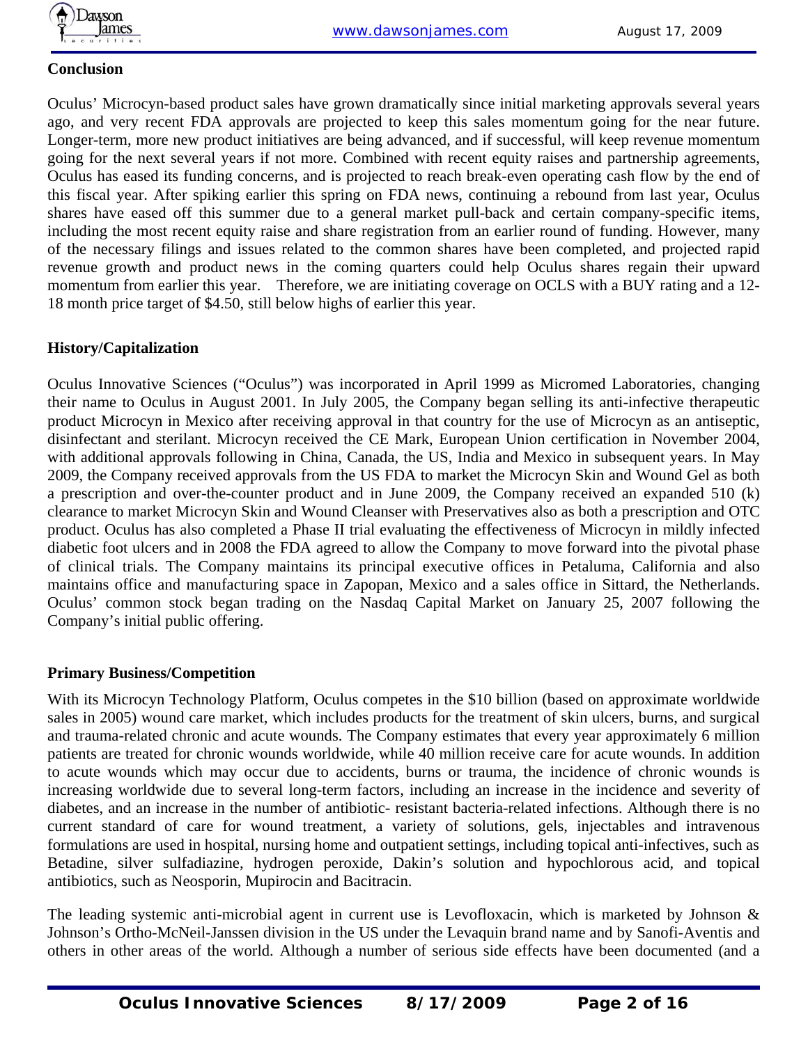

#### **Conclusion**

Oculus' Microcyn-based product sales have grown dramatically since initial marketing approvals several years ago, and very recent FDA approvals are projected to keep this sales momentum going for the near future. Longer-term, more new product initiatives are being advanced, and if successful, will keep revenue momentum going for the next several years if not more. Combined with recent equity raises and partnership agreements, Oculus has eased its funding concerns, and is projected to reach break-even operating cash flow by the end of this fiscal year. After spiking earlier this spring on FDA news, continuing a rebound from last year, Oculus shares have eased off this summer due to a general market pull-back and certain company-specific items, including the most recent equity raise and share registration from an earlier round of funding. However, many of the necessary filings and issues related to the common shares have been completed, and projected rapid revenue growth and product news in the coming quarters could help Oculus shares regain their upward momentum from earlier this year. Therefore, we are initiating coverage on OCLS with a BUY rating and a 12- 18 month price target of \$4.50, still below highs of earlier this year.

#### **History/Capitalization**

Oculus Innovative Sciences ("Oculus") was incorporated in April 1999 as Micromed Laboratories, changing their name to Oculus in August 2001. In July 2005, the Company began selling its anti-infective therapeutic product Microcyn in Mexico after receiving approval in that country for the use of Microcyn as an antiseptic, disinfectant and sterilant. Microcyn received the CE Mark, European Union certification in November 2004, with additional approvals following in China, Canada, the US, India and Mexico in subsequent years. In May 2009, the Company received approvals from the US FDA to market the Microcyn Skin and Wound Gel as both a prescription and over-the-counter product and in June 2009, the Company received an expanded 510 (k) clearance to market Microcyn Skin and Wound Cleanser with Preservatives also as both a prescription and OTC product. Oculus has also completed a Phase II trial evaluating the effectiveness of Microcyn in mildly infected diabetic foot ulcers and in 2008 the FDA agreed to allow the Company to move forward into the pivotal phase of clinical trials. The Company maintains its principal executive offices in Petaluma, California and also maintains office and manufacturing space in Zapopan, Mexico and a sales office in Sittard, the Netherlands. Oculus' common stock began trading on the Nasdaq Capital Market on January 25, 2007 following the Company's initial public offering.

#### **Primary Business/Competition**

With its Microcyn Technology Platform, Oculus competes in the \$10 billion (based on approximate worldwide sales in 2005) wound care market, which includes products for the treatment of skin ulcers, burns, and surgical and trauma-related chronic and acute wounds. The Company estimates that every year approximately 6 million patients are treated for chronic wounds worldwide, while 40 million receive care for acute wounds. In addition to acute wounds which may occur due to accidents, burns or trauma, the incidence of chronic wounds is increasing worldwide due to several long-term factors, including an increase in the incidence and severity of diabetes, and an increase in the number of antibiotic- resistant bacteria-related infections. Although there is no current standard of care for wound treatment, a variety of solutions, gels, injectables and intravenous formulations are used in hospital, nursing home and outpatient settings, including topical anti-infectives, such as Betadine, silver sulfadiazine, hydrogen peroxide, Dakin's solution and hypochlorous acid, and topical antibiotics, such as Neosporin, Mupirocin and Bacitracin.

The leading systemic anti-microbial agent in current use is Levofloxacin, which is marketed by Johnson & Johnson's Ortho-McNeil-Janssen division in the US under the Levaquin brand name and by Sanofi-Aventis and others in other areas of the world. Although a number of serious side effects have been documented (and a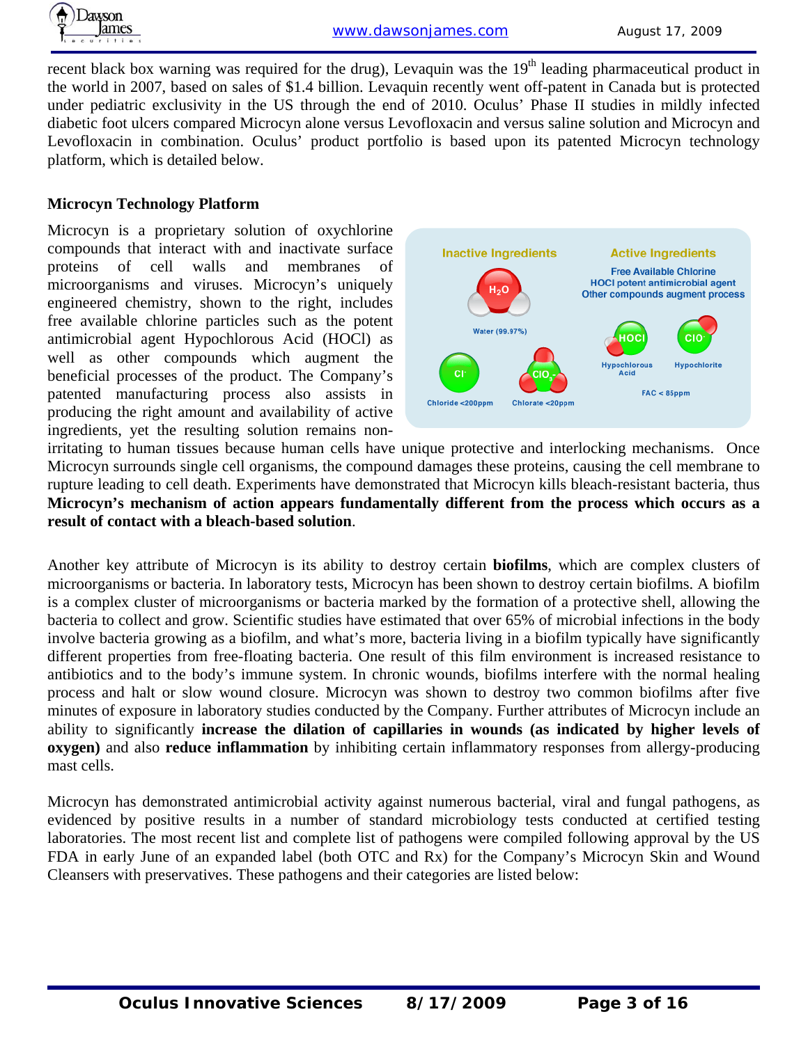

recent black box warning was required for the drug), Levaquin was the  $19<sup>th</sup>$  leading pharmaceutical product in the world in 2007, based on sales of \$1.4 billion. Levaquin recently went off-patent in Canada but is protected under pediatric exclusivity in the US through the end of 2010. Oculus' Phase II studies in mildly infected diabetic foot ulcers compared Microcyn alone versus Levofloxacin and versus saline solution and Microcyn and Levofloxacin in combination. Oculus' product portfolio is based upon its patented Microcyn technology platform, which is detailed below.

#### **Microcyn Technology Platform**

Microcyn is a proprietary solution of oxychlorine compounds that interact with and inactivate surface proteins of cell walls and membranes of microorganisms and viruses. Microcyn's uniquely engineered chemistry, shown to the right, includes free available chlorine particles such as the potent antimicrobial agent Hypochlorous Acid (HOCl) as well as other compounds which augment the beneficial processes of the product. The Company's patented manufacturing process also assists in producing the right amount and availability of active ingredients, yet the resulting solution remains non-



irritating to human tissues because human cells have unique protective and interlocking mechanisms. Once Microcyn surrounds single cell organisms, the compound damages these proteins, causing the cell membrane to rupture leading to cell death. Experiments have demonstrated that Microcyn kills bleach-resistant bacteria, thus **Microcyn's mechanism of action appears fundamentally different from the process which occurs as a result of contact with a bleach-based solution**.

Another key attribute of Microcyn is its ability to destroy certain **biofilms**, which are complex clusters of microorganisms or bacteria. In laboratory tests, Microcyn has been shown to destroy certain biofilms. A biofilm is a complex cluster of microorganisms or bacteria marked by the formation of a protective shell, allowing the bacteria to collect and grow. Scientific studies have estimated that over 65% of microbial infections in the body involve bacteria growing as a biofilm, and what's more, bacteria living in a biofilm typically have significantly different properties from free-floating bacteria. One result of this film environment is increased resistance to antibiotics and to the body's immune system. In chronic wounds, biofilms interfere with the normal healing process and halt or slow wound closure. Microcyn was shown to destroy two common biofilms after five minutes of exposure in laboratory studies conducted by the Company. Further attributes of Microcyn include an ability to significantly **increase the dilation of capillaries in wounds (as indicated by higher levels of oxygen)** and also **reduce inflammation** by inhibiting certain inflammatory responses from allergy-producing mast cells.

Microcyn has demonstrated antimicrobial activity against numerous bacterial, viral and fungal pathogens, as evidenced by positive results in a number of standard microbiology tests conducted at certified testing laboratories. The most recent list and complete list of pathogens were compiled following approval by the US FDA in early June of an expanded label (both OTC and Rx) for the Company's Microcyn Skin and Wound Cleansers with preservatives. These pathogens and their categories are listed below: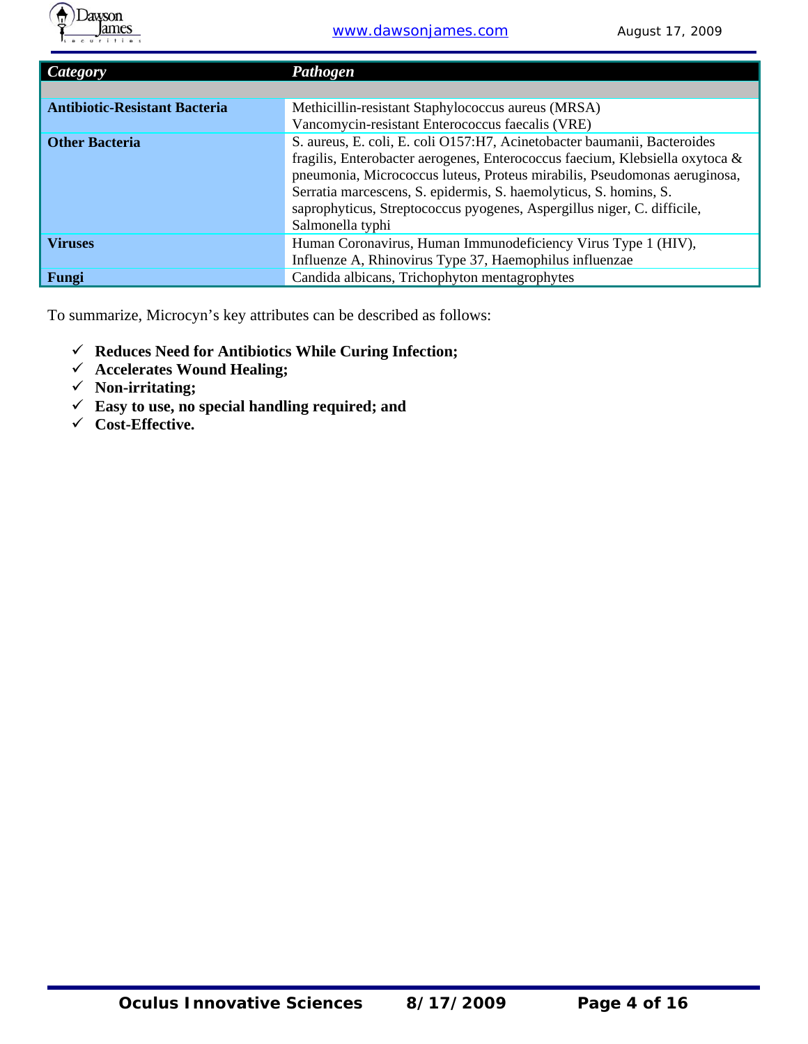

| <b>Category</b>                      | Pathogen                                                                     |
|--------------------------------------|------------------------------------------------------------------------------|
|                                      |                                                                              |
| <b>Antibiotic-Resistant Bacteria</b> | Methicillin-resistant Staphylococcus aureus (MRSA)                           |
|                                      | Vancomycin-resistant Enterococcus faecalis (VRE)                             |
| <b>Other Bacteria</b>                | S. aureus, E. coli, E. coli O157:H7, Acinetobacter baumanii, Bacteroides     |
|                                      | fragilis, Enterobacter aerogenes, Enterococcus faecium, Klebsiella oxytoca & |
|                                      | pneumonia, Micrococcus luteus, Proteus mirabilis, Pseudomonas aeruginosa,    |
|                                      | Serratia marcescens, S. epidermis, S. haemolyticus, S. homins, S.            |
|                                      | saprophyticus, Streptococcus pyogenes, Aspergillus niger, C. difficile,      |
|                                      | Salmonella typhi                                                             |
| <b>Viruses</b>                       | Human Coronavirus, Human Immunodeficiency Virus Type 1 (HIV),                |
|                                      | Influenze A, Rhinovirus Type 37, Haemophilus influenzae                      |
| Fungi                                | Candida albicans, Trichophyton mentagrophytes                                |

To summarize, Microcyn's key attributes can be described as follows:

- 9 **Reduces Need for Antibiotics While Curing Infection;**
- 9 **Accelerates Wound Healing;**
- 9 **Non-irritating;**
- 9 **Easy to use, no special handling required; and**
- 9 **Cost-Effective.**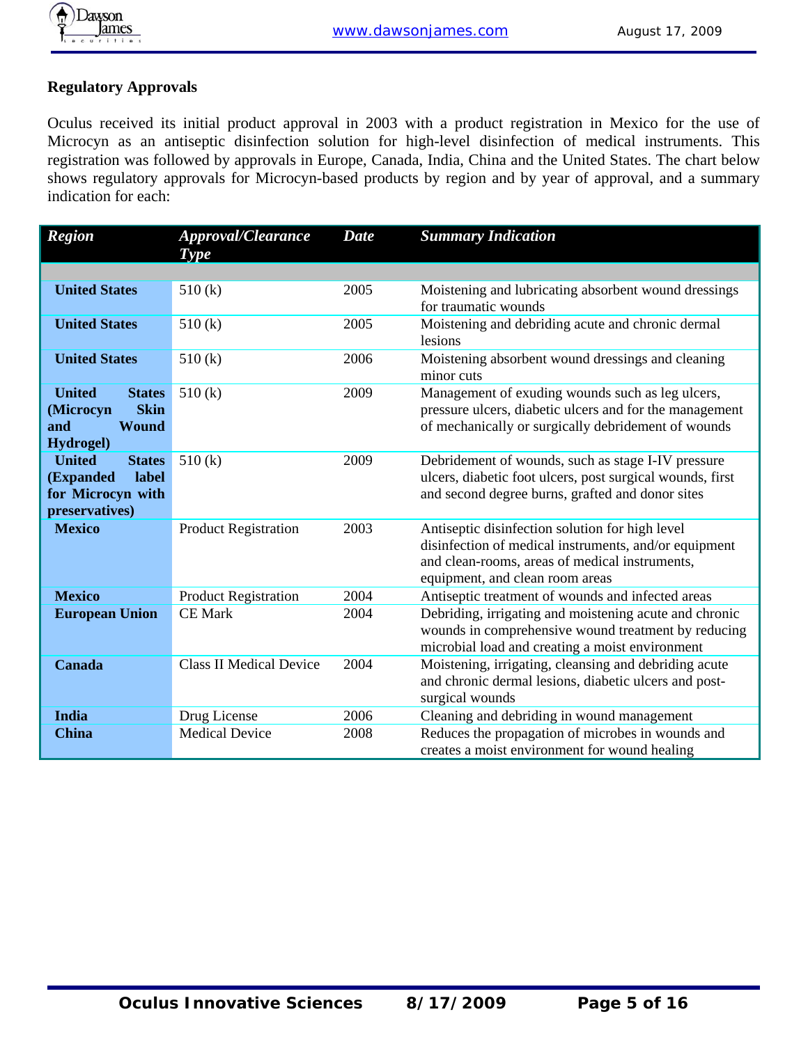### **Regulatory Approvals**

Oculus received its initial product approval in 2003 with a product registration in Mexico for the use of Microcyn as an antiseptic disinfection solution for high-level disinfection of medical instruments. This registration was followed by approvals in Europe, Canada, India, China and the United States. The chart below shows regulatory approvals for Microcyn-based products by region and by year of approval, and a summary indication for each:

| <b>Region</b>                                                                                         | <b>Approval/Clearance</b><br>Type | <b>Date</b> | <b>Summary Indication</b>                                                                                                                                                                     |
|-------------------------------------------------------------------------------------------------------|-----------------------------------|-------------|-----------------------------------------------------------------------------------------------------------------------------------------------------------------------------------------------|
|                                                                                                       |                                   |             |                                                                                                                                                                                               |
| <b>United States</b>                                                                                  | 510(k)                            | 2005        | Moistening and lubricating absorbent wound dressings<br>for traumatic wounds                                                                                                                  |
| <b>United States</b>                                                                                  | 510(k)                            | 2005        | Moistening and debriding acute and chronic dermal<br>lesions                                                                                                                                  |
| <b>United States</b>                                                                                  | 510(k)                            | 2006        | Moistening absorbent wound dressings and cleaning<br>minor cuts                                                                                                                               |
| <b>United</b><br><b>States</b><br><b>Skin</b><br>(Microcyn<br><b>Wound</b><br>and<br><b>Hydrogel)</b> | 510(k)                            | 2009        | Management of exuding wounds such as leg ulcers,<br>pressure ulcers, diabetic ulcers and for the management<br>of mechanically or surgically debridement of wounds                            |
| <b>United</b><br><b>States</b><br>label<br>(Expanded<br>for Microcyn with<br>preservatives)           | 510(k)                            | 2009        | Debridement of wounds, such as stage I-IV pressure<br>ulcers, diabetic foot ulcers, post surgical wounds, first<br>and second degree burns, grafted and donor sites                           |
| <b>Mexico</b>                                                                                         | <b>Product Registration</b>       | 2003        | Antiseptic disinfection solution for high level<br>disinfection of medical instruments, and/or equipment<br>and clean-rooms, areas of medical instruments,<br>equipment, and clean room areas |
| <b>Mexico</b>                                                                                         | <b>Product Registration</b>       | 2004        | Antiseptic treatment of wounds and infected areas                                                                                                                                             |
| <b>European Union</b>                                                                                 | <b>CE Mark</b>                    | 2004        | Debriding, irrigating and moistening acute and chronic<br>wounds in comprehensive wound treatment by reducing<br>microbial load and creating a moist environment                              |
| Canada                                                                                                | <b>Class II Medical Device</b>    | 2004        | Moistening, irrigating, cleansing and debriding acute<br>and chronic dermal lesions, diabetic ulcers and post-<br>surgical wounds                                                             |
| India                                                                                                 | Drug License                      | 2006        | Cleaning and debriding in wound management                                                                                                                                                    |
| <b>China</b>                                                                                          | <b>Medical Device</b>             | 2008        | Reduces the propagation of microbes in wounds and<br>creates a moist environment for wound healing                                                                                            |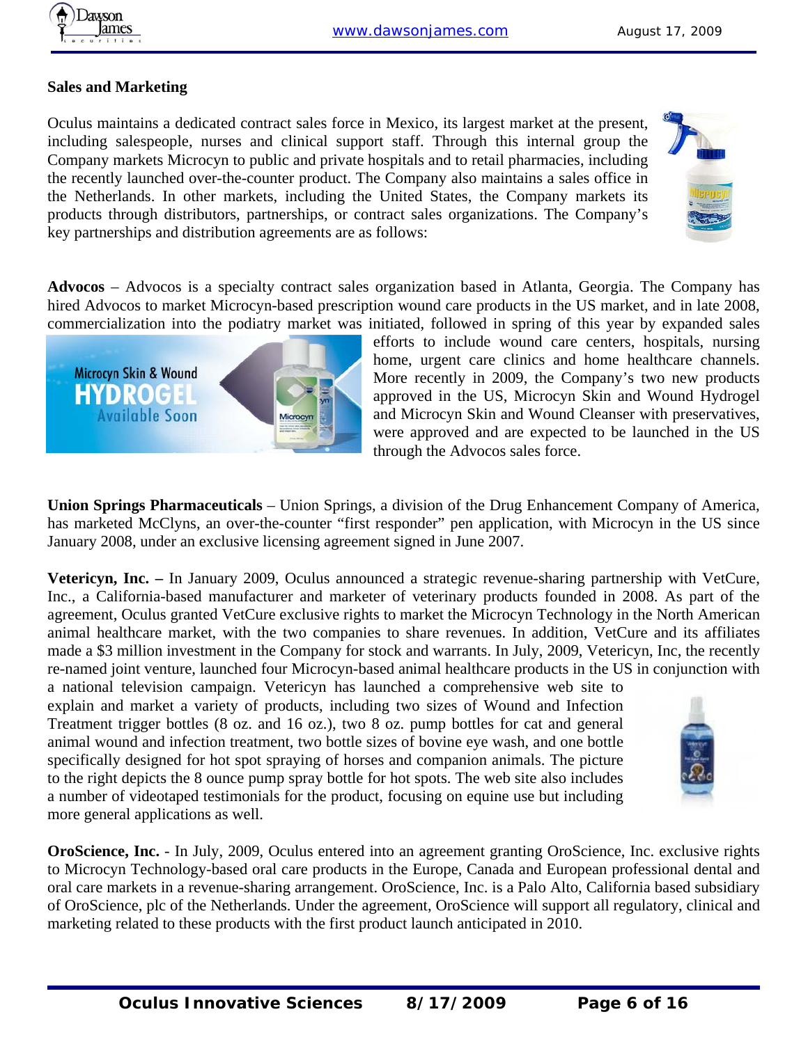

#### **Sales and Marketing**

Oculus maintains a dedicated contract sales force in Mexico, its largest market at the present, including salespeople, nurses and clinical support staff. Through this internal group the Company markets Microcyn to public and private hospitals and to retail pharmacies, including the recently launched over-the-counter product. The Company also maintains a sales office in the Netherlands. In other markets, including the United States, the Company markets its products through distributors, partnerships, or contract sales organizations. The Company's key partnerships and distribution agreements are as follows:



**Advocos** – Advocos is a specialty contract sales organization based in Atlanta, Georgia. The Company has hired Advocos to market Microcyn-based prescription wound care products in the US market, and in late 2008, commercialization into the podiatry market was initiated, followed in spring of this year by expanded sales



efforts to include wound care centers, hospitals, nursing home, urgent care clinics and home healthcare channels. More recently in 2009, the Company's two new products approved in the US, Microcyn Skin and Wound Hydrogel and Microcyn Skin and Wound Cleanser with preservatives, were approved and are expected to be launched in the US through the Advocos sales force.

**Union Springs Pharmaceuticals** – Union Springs, a division of the Drug Enhancement Company of America, has marketed McClyns, an over-the-counter "first responder" pen application, with Microcyn in the US since January 2008, under an exclusive licensing agreement signed in June 2007.

**Vetericyn, Inc. –** In January 2009, Oculus announced a strategic revenue-sharing partnership with VetCure, Inc., a California-based manufacturer and marketer of veterinary products founded in 2008. As part of the agreement, Oculus granted VetCure exclusive rights to market the Microcyn Technology in the North American animal healthcare market, with the two companies to share revenues. In addition, VetCure and its affiliates made a \$3 million investment in the Company for stock and warrants. In July, 2009, Vetericyn, Inc, the recently re-named joint venture, launched four Microcyn-based animal healthcare products in the US in conjunction with a national television campaign. Vetericyn has launched a comprehensive web site to

explain and market a variety of products, including two sizes of Wound and Infection Treatment trigger bottles (8 oz. and 16 oz.), two 8 oz. pump bottles for cat and general animal wound and infection treatment, two bottle sizes of bovine eye wash, and one bottle specifically designed for hot spot spraying of horses and companion animals. The picture to the right depicts the 8 ounce pump spray bottle for hot spots. The web site also includes a number of videotaped testimonials for the product, focusing on equine use but including more general applications as well.



**OroScience, Inc.** - In July, 2009, Oculus entered into an agreement granting OroScience, Inc. exclusive rights to Microcyn Technology-based oral care products in the Europe, Canada and European professional dental and oral care markets in a revenue-sharing arrangement. OroScience, Inc. is a Palo Alto, California based subsidiary of OroScience, plc of the Netherlands. Under the agreement, OroScience will support all regulatory, clinical and marketing related to these products with the first product launch anticipated in 2010.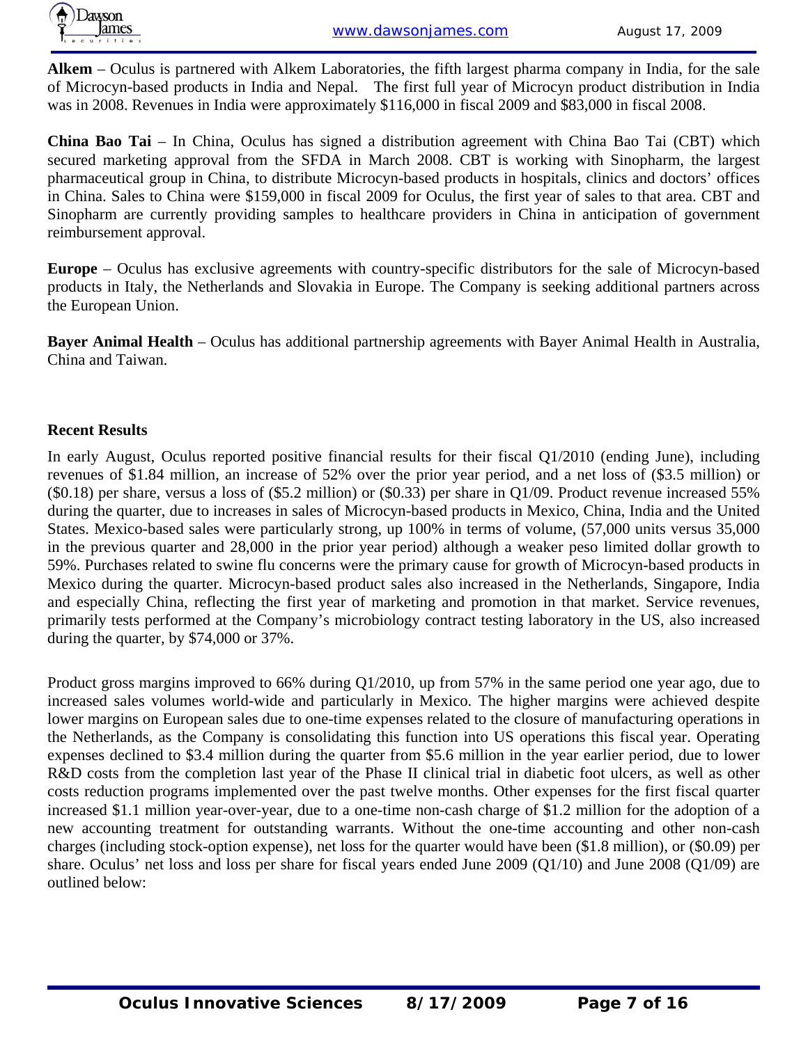

**Alkem** – Oculus is partnered with Alkem Laboratories, the fifth largest pharma company in India, for the sale of Microcyn-based products in India and Nepal. The first full year of Microcyn product distribution in India was in 2008. Revenues in India were approximately \$116,000 in fiscal 2009 and \$83,000 in fiscal 2008.

**China Bao Tai** – In China, Oculus has signed a distribution agreement with China Bao Tai (CBT) which secured marketing approval from the SFDA in March 2008. CBT is working with Sinopharm, the largest pharmaceutical group in China, to distribute Microcyn-based products in hospitals, clinics and doctors' offices in China. Sales to China were \$159,000 in fiscal 2009 for Oculus, the first year of sales to that area. CBT and Sinopharm are currently providing samples to healthcare providers in China in anticipation of government reimbursement approval.

**Europe** – Oculus has exclusive agreements with country-specific distributors for the sale of Microcyn-based products in Italy, the Netherlands and Slovakia in Europe. The Company is seeking additional partners across the European Union.

**Bayer Animal Health** – Oculus has additional partnership agreements with Bayer Animal Health in Australia, China and Taiwan.

#### **Recent Results**

In early August, Oculus reported positive financial results for their fiscal Q1/2010 (ending June), including revenues of \$1.84 million, an increase of 52% over the prior year period, and a net loss of (\$3.5 million) or (\$0.18) per share, versus a loss of (\$5.2 million) or (\$0.33) per share in Q1/09. Product revenue increased 55% during the quarter, due to increases in sales of Microcyn-based products in Mexico, China, India and the United States. Mexico-based sales were particularly strong, up 100% in terms of volume, (57,000 units versus 35,000 in the previous quarter and 28,000 in the prior year period) although a weaker peso limited dollar growth to 59%. Purchases related to swine flu concerns were the primary cause for growth of Microcyn-based products in Mexico during the quarter. Microcyn-based product sales also increased in the Netherlands, Singapore, India and especially China, reflecting the first year of marketing and promotion in that market. Service revenues, primarily tests performed at the Company's microbiology contract testing laboratory in the US, also increased during the quarter, by \$74,000 or 37%.

Product gross margins improved to 66% during Q1/2010, up from 57% in the same period one year ago, due to increased sales volumes world-wide and particularly in Mexico. The higher margins were achieved despite lower margins on European sales due to one-time expenses related to the closure of manufacturing operations in the Netherlands, as the Company is consolidating this function into US operations this fiscal year. Operating expenses declined to \$3.4 million during the quarter from \$5.6 million in the year earlier period, due to lower R&D costs from the completion last year of the Phase II clinical trial in diabetic foot ulcers, as well as other costs reduction programs implemented over the past twelve months. Other expenses for the first fiscal quarter increased \$1.1 million year-over-year, due to a one-time non-cash charge of \$1.2 million for the adoption of a new accounting treatment for outstanding warrants. Without the one-time accounting and other non-cash charges (including stock-option expense), net loss for the quarter would have been (\$1.8 million), or (\$0.09) per share. Oculus' net loss and loss per share for fiscal years ended June 2009 (Q1/10) and June 2008 (Q1/09) are outlined below: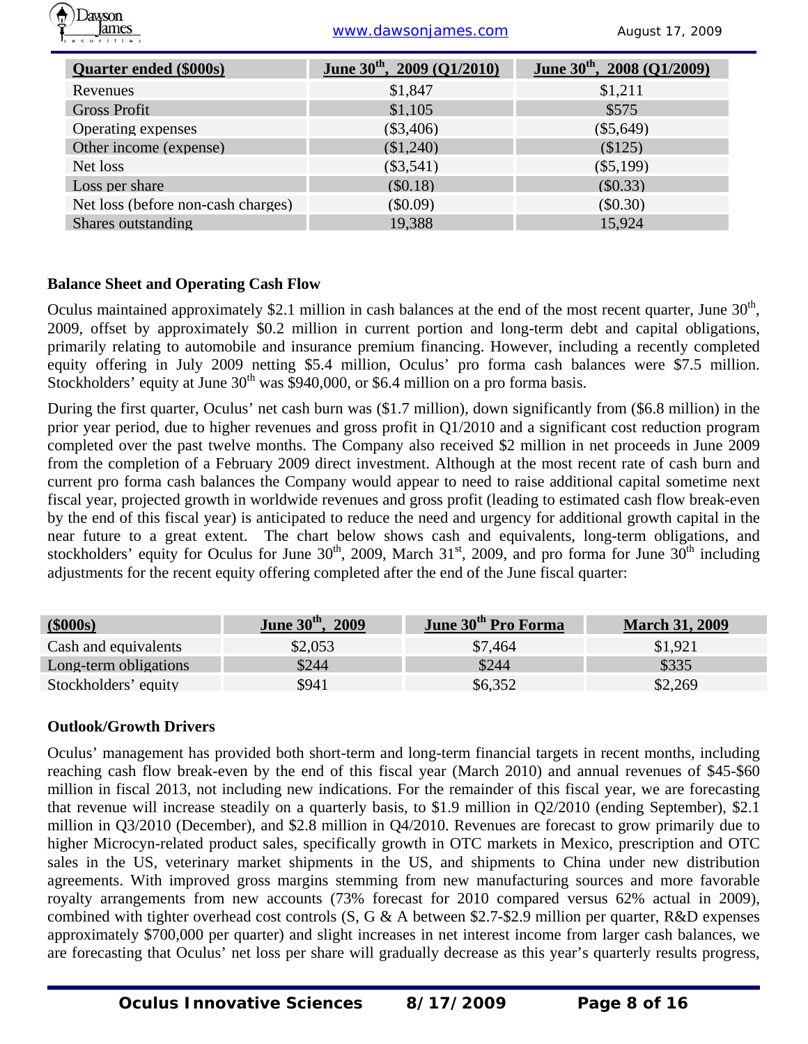

ames **ames** www.dawsonjames.com August 17, 2009

| <b>Quarter ended (\$000s)</b>      | June $30^{th}$ , 2009 (Q1/2010) | June $30^{th}$ , 2008 (Q1/2009) |
|------------------------------------|---------------------------------|---------------------------------|
| Revenues                           | \$1,847                         | \$1,211                         |
| <b>Gross Profit</b>                | \$1,105                         | \$575                           |
| Operating expenses                 | $(\$3,406)$                     | $(\$5,649)$                     |
| Other income (expense)             | (\$1,240)                       | \$125)                          |
| Net loss                           | $(\$3,541)$                     | $(\$5,199)$                     |
| Loss per share                     | (\$0.18)                        | (\$0.33)                        |
| Net loss (before non-cash charges) | (\$0.09)                        | (\$0.30)                        |
| Shares outstanding                 | 19,388                          | 15,924                          |

#### **Balance Sheet and Operating Cash Flow**

Oculus maintained approximately \$2.1 million in cash balances at the end of the most recent quarter, June  $30<sup>th</sup>$ , 2009, offset by approximately \$0.2 million in current portion and long-term debt and capital obligations, primarily relating to automobile and insurance premium financing. However, including a recently completed equity offering in July 2009 netting \$5.4 million, Oculus' pro forma cash balances were \$7.5 million. Stockholders' equity at June  $30<sup>th</sup>$  was \$940,000, or \$6.4 million on a pro forma basis.

During the first quarter, Oculus' net cash burn was (\$1.7 million), down significantly from (\$6.8 million) in the prior year period, due to higher revenues and gross profit in Q1/2010 and a significant cost reduction program completed over the past twelve months. The Company also received \$2 million in net proceeds in June 2009 from the completion of a February 2009 direct investment. Although at the most recent rate of cash burn and current pro forma cash balances the Company would appear to need to raise additional capital sometime next fiscal year, projected growth in worldwide revenues and gross profit (leading to estimated cash flow break-even by the end of this fiscal year) is anticipated to reduce the need and urgency for additional growth capital in the near future to a great extent. The chart below shows cash and equivalents, long-term obligations, and stockholders' equity for Oculus for June  $30<sup>th</sup>$ , 2009, March  $31<sup>st</sup>$ , 2009, and pro forma for June  $30<sup>th</sup>$  including adjustments for the recent equity offering completed after the end of the June fiscal quarter:

| (\$000s)              | June $30^{th}$ , 2009 | June 30 <sup>th</sup> Pro Forma | <b>March 31, 2009</b> |
|-----------------------|-----------------------|---------------------------------|-----------------------|
| Cash and equivalents  | \$2,053               | \$7.464                         | \$1.921               |
| Long-term obligations | \$244                 | \$244                           | \$335                 |
| Stockholders' equity  | \$941                 | \$6.352                         | \$2,269               |

#### **Outlook/Growth Drivers**

Oculus' management has provided both short-term and long-term financial targets in recent months, including reaching cash flow break-even by the end of this fiscal year (March 2010) and annual revenues of \$45-\$60 million in fiscal 2013, not including new indications. For the remainder of this fiscal year, we are forecasting that revenue will increase steadily on a quarterly basis, to \$1.9 million in Q2/2010 (ending September), \$2.1 million in Q3/2010 (December), and \$2.8 million in Q4/2010. Revenues are forecast to grow primarily due to higher Microcyn-related product sales, specifically growth in OTC markets in Mexico, prescription and OTC sales in the US, veterinary market shipments in the US, and shipments to China under new distribution agreements. With improved gross margins stemming from new manufacturing sources and more favorable royalty arrangements from new accounts (73% forecast for 2010 compared versus 62% actual in 2009), combined with tighter overhead cost controls (S, G & A between \$2.7-\$2.9 million per quarter, R&D expenses approximately \$700,000 per quarter) and slight increases in net interest income from larger cash balances, we are forecasting that Oculus' net loss per share will gradually decrease as this year's quarterly results progress,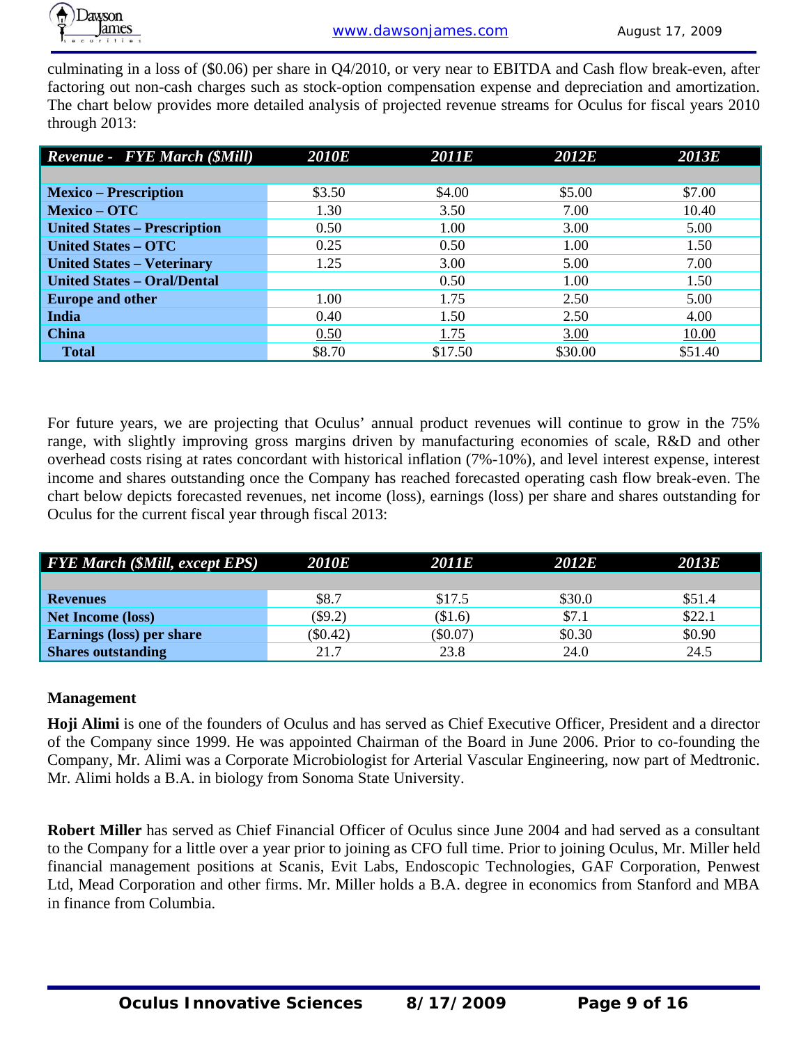

culminating in a loss of (\$0.06) per share in Q4/2010, or very near to EBITDA and Cash flow break-even, after factoring out non-cash charges such as stock-option compensation expense and depreciation and amortization. The chart below provides more detailed analysis of projected revenue streams for Oculus for fiscal years 2010 through 2013:

| <b>Revenue - FYE March (\$Mill)</b> | <b>2010E</b> | <b>2011E</b> | <b>2012E</b> | 2013E   |
|-------------------------------------|--------------|--------------|--------------|---------|
|                                     |              |              |              |         |
| <b>Mexico – Prescription</b>        | \$3.50       | \$4.00       | \$5.00       | \$7.00  |
| <b>Mexico - OTC</b>                 | 1.30         | 3.50         | 7.00         | 10.40   |
| <b>United States - Prescription</b> | 0.50         | 1.00         | 3.00         | 5.00    |
| <b>United States - OTC</b>          | 0.25         | 0.50         | 1.00         | 1.50    |
| <b>United States - Veterinary</b>   | 1.25         | 3.00         | 5.00         | 7.00    |
| <b>United States - Oral/Dental</b>  |              | 0.50         | 1.00         | 1.50    |
| <b>Europe and other</b>             | 1.00         | 1.75         | 2.50         | 5.00    |
| <b>India</b>                        | 0.40         | 1.50         | 2.50         | 4.00    |
| <b>China</b>                        | 0.50         | 1.75         | 3.00         | 10.00   |
| <b>Total</b>                        | \$8.70       | \$17.50      | \$30.00      | \$51.40 |

For future years, we are projecting that Oculus' annual product revenues will continue to grow in the 75% range, with slightly improving gross margins driven by manufacturing economies of scale, R&D and other overhead costs rising at rates concordant with historical inflation (7%-10%), and level interest expense, interest income and shares outstanding once the Company has reached forecasted operating cash flow break-even. The chart below depicts forecasted revenues, net income (loss), earnings (loss) per share and shares outstanding for Oculus for the current fiscal year through fiscal 2013:

| <b>FYE March (\$Mill, except EPS)</b> | <b>2010E</b> | <b>2011E</b> | 2012 <i>E</i> | <i><b>2013E</b></i> |
|---------------------------------------|--------------|--------------|---------------|---------------------|
|                                       |              |              |               |                     |
| <b>Revenues</b>                       | \$8.7        | \$17.5       | \$30.0        | \$51.4              |
| <b>Net Income (loss)</b>              | $(\$9.2)$    | \$1.6        | \$7.1         | \$22.1              |
| <b>Earnings (loss) per share</b>      | $(\$0.42)$   | $(\$0.07)$   | \$0.30        | \$0.90              |
| <b>Shares outstanding</b>             | 21.7         | 23.8         | 24.0          | 24.5                |

#### **Management**

**Hoji Alimi** is one of the founders of Oculus and has served as Chief Executive Officer, President and a director of the Company since 1999. He was appointed Chairman of the Board in June 2006. Prior to co-founding the Company, Mr. Alimi was a Corporate Microbiologist for Arterial Vascular Engineering, now part of Medtronic. Mr. Alimi holds a B.A. in biology from Sonoma State University.

**Robert Miller** has served as Chief Financial Officer of Oculus since June 2004 and had served as a consultant to the Company for a little over a year prior to joining as CFO full time. Prior to joining Oculus, Mr. Miller held financial management positions at Scanis, Evit Labs, Endoscopic Technologies, GAF Corporation, Penwest Ltd, Mead Corporation and other firms. Mr. Miller holds a B.A. degree in economics from Stanford and MBA in finance from Columbia.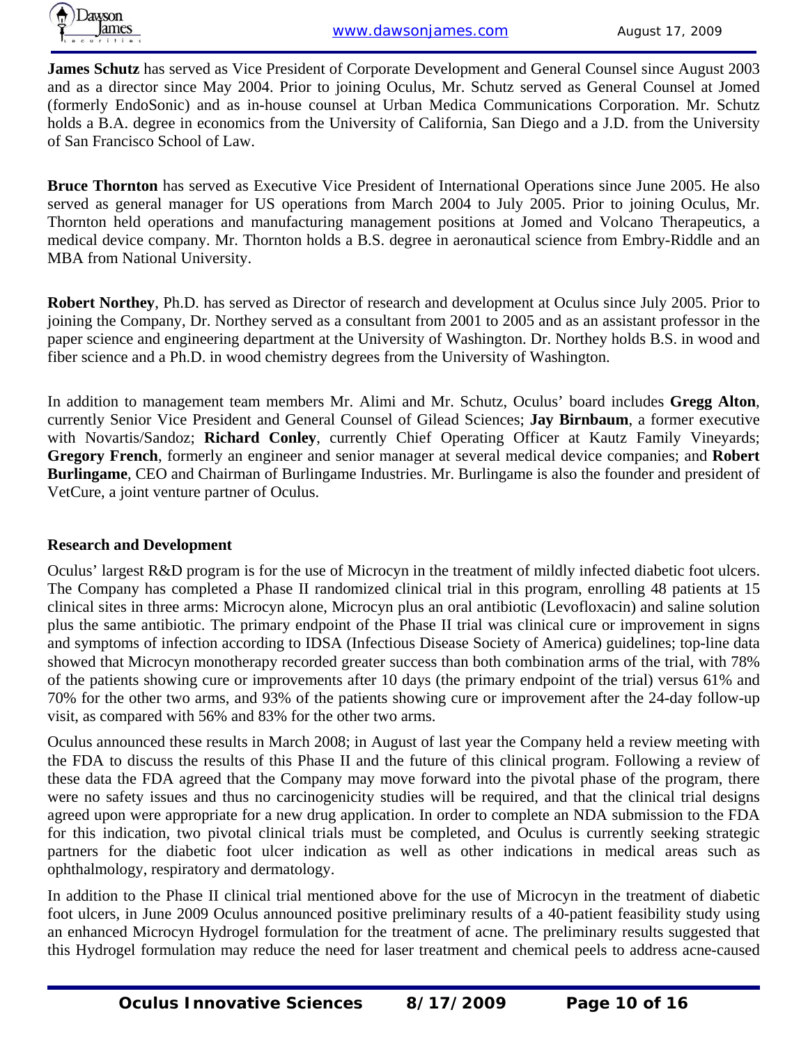**James Schutz** has served as Vice President of Corporate Development and General Counsel since August 2003 and as a director since May 2004. Prior to joining Oculus, Mr. Schutz served as General Counsel at Jomed (formerly EndoSonic) and as in-house counsel at Urban Medica Communications Corporation. Mr. Schutz holds a B.A. degree in economics from the University of California, San Diego and a J.D. from the University of San Francisco School of Law.

**Bruce Thornton** has served as Executive Vice President of International Operations since June 2005. He also served as general manager for US operations from March 2004 to July 2005. Prior to joining Oculus, Mr. Thornton held operations and manufacturing management positions at Jomed and Volcano Therapeutics, a medical device company. Mr. Thornton holds a B.S. degree in aeronautical science from Embry-Riddle and an MBA from National University.

**Robert Northey**, Ph.D. has served as Director of research and development at Oculus since July 2005. Prior to joining the Company, Dr. Northey served as a consultant from 2001 to 2005 and as an assistant professor in the paper science and engineering department at the University of Washington. Dr. Northey holds B.S. in wood and fiber science and a Ph.D. in wood chemistry degrees from the University of Washington.

In addition to management team members Mr. Alimi and Mr. Schutz, Oculus' board includes **Gregg Alton**, currently Senior Vice President and General Counsel of Gilead Sciences; **Jay Birnbaum**, a former executive with Novartis/Sandoz; **Richard Conley**, currently Chief Operating Officer at Kautz Family Vineyards; **Gregory French**, formerly an engineer and senior manager at several medical device companies; and **Robert Burlingame**, CEO and Chairman of Burlingame Industries. Mr. Burlingame is also the founder and president of VetCure, a joint venture partner of Oculus.

#### **Research and Development**

Oculus' largest R&D program is for the use of Microcyn in the treatment of mildly infected diabetic foot ulcers. The Company has completed a Phase II randomized clinical trial in this program, enrolling 48 patients at 15 clinical sites in three arms: Microcyn alone, Microcyn plus an oral antibiotic (Levofloxacin) and saline solution plus the same antibiotic. The primary endpoint of the Phase II trial was clinical cure or improvement in signs and symptoms of infection according to IDSA (Infectious Disease Society of America) guidelines; top-line data showed that Microcyn monotherapy recorded greater success than both combination arms of the trial, with 78% of the patients showing cure or improvements after 10 days (the primary endpoint of the trial) versus 61% and 70% for the other two arms, and 93% of the patients showing cure or improvement after the 24-day follow-up visit, as compared with 56% and 83% for the other two arms.

Oculus announced these results in March 2008; in August of last year the Company held a review meeting with the FDA to discuss the results of this Phase II and the future of this clinical program. Following a review of these data the FDA agreed that the Company may move forward into the pivotal phase of the program, there were no safety issues and thus no carcinogenicity studies will be required, and that the clinical trial designs agreed upon were appropriate for a new drug application. In order to complete an NDA submission to the FDA for this indication, two pivotal clinical trials must be completed, and Oculus is currently seeking strategic partners for the diabetic foot ulcer indication as well as other indications in medical areas such as ophthalmology, respiratory and dermatology.

In addition to the Phase II clinical trial mentioned above for the use of Microcyn in the treatment of diabetic foot ulcers, in June 2009 Oculus announced positive preliminary results of a 40-patient feasibility study using an enhanced Microcyn Hydrogel formulation for the treatment of acne. The preliminary results suggested that this Hydrogel formulation may reduce the need for laser treatment and chemical peels to address acne-caused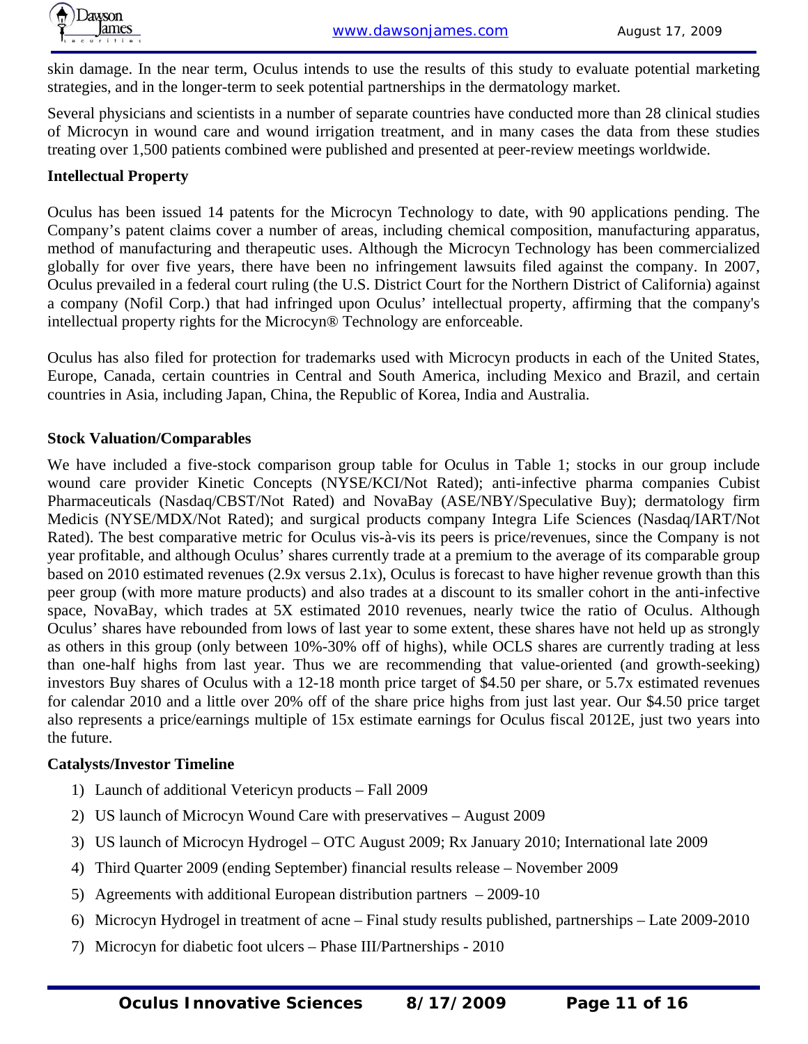

skin damage. In the near term, Oculus intends to use the results of this study to evaluate potential marketing strategies, and in the longer-term to seek potential partnerships in the dermatology market.

Several physicians and scientists in a number of separate countries have conducted more than 28 clinical studies of Microcyn in wound care and wound irrigation treatment, and in many cases the data from these studies treating over 1,500 patients combined were published and presented at peer-review meetings worldwide.

#### **Intellectual Property**

Oculus has been issued 14 patents for the Microcyn Technology to date, with 90 applications pending. The Company's patent claims cover a number of areas, including chemical composition, manufacturing apparatus, method of manufacturing and therapeutic uses. Although the Microcyn Technology has been commercialized globally for over five years, there have been no infringement lawsuits filed against the company. In 2007, Oculus prevailed in a federal court ruling (the U.S. District Court for the Northern District of California) against a company (Nofil Corp.) that had infringed upon Oculus' intellectual property, affirming that the company's intellectual property rights for the Microcyn® Technology are enforceable.

Oculus has also filed for protection for trademarks used with Microcyn products in each of the United States, Europe, Canada, certain countries in Central and South America, including Mexico and Brazil, and certain countries in Asia, including Japan, China, the Republic of Korea, India and Australia.

#### **Stock Valuation/Comparables**

We have included a five-stock comparison group table for Oculus in Table 1; stocks in our group include wound care provider Kinetic Concepts (NYSE/KCI/Not Rated); anti-infective pharma companies Cubist Pharmaceuticals (Nasdaq/CBST/Not Rated) and NovaBay (ASE/NBY/Speculative Buy); dermatology firm Medicis (NYSE/MDX/Not Rated); and surgical products company Integra Life Sciences (Nasdaq/IART/Not Rated). The best comparative metric for Oculus vis-à-vis its peers is price/revenues, since the Company is not year profitable, and although Oculus' shares currently trade at a premium to the average of its comparable group based on 2010 estimated revenues (2.9x versus 2.1x), Oculus is forecast to have higher revenue growth than this peer group (with more mature products) and also trades at a discount to its smaller cohort in the anti-infective space, NovaBay, which trades at 5X estimated 2010 revenues, nearly twice the ratio of Oculus. Although Oculus' shares have rebounded from lows of last year to some extent, these shares have not held up as strongly as others in this group (only between 10%-30% off of highs), while OCLS shares are currently trading at less than one-half highs from last year. Thus we are recommending that value-oriented (and growth-seeking) investors Buy shares of Oculus with a 12-18 month price target of \$4.50 per share, or 5.7x estimated revenues for calendar 2010 and a little over 20% off of the share price highs from just last year. Our \$4.50 price target also represents a price/earnings multiple of 15x estimate earnings for Oculus fiscal 2012E, just two years into the future.

#### **Catalysts/Investor Timeline**

- 1) Launch of additional Vetericyn products Fall 2009
- 2) US launch of Microcyn Wound Care with preservatives August 2009
- 3) US launch of Microcyn Hydrogel OTC August 2009; Rx January 2010; International late 2009
- 4) Third Quarter 2009 (ending September) financial results release November 2009
- 5) Agreements with additional European distribution partners 2009-10
- 6) Microcyn Hydrogel in treatment of acne Final study results published, partnerships Late 2009-2010
- 7) Microcyn for diabetic foot ulcers Phase III/Partnerships 2010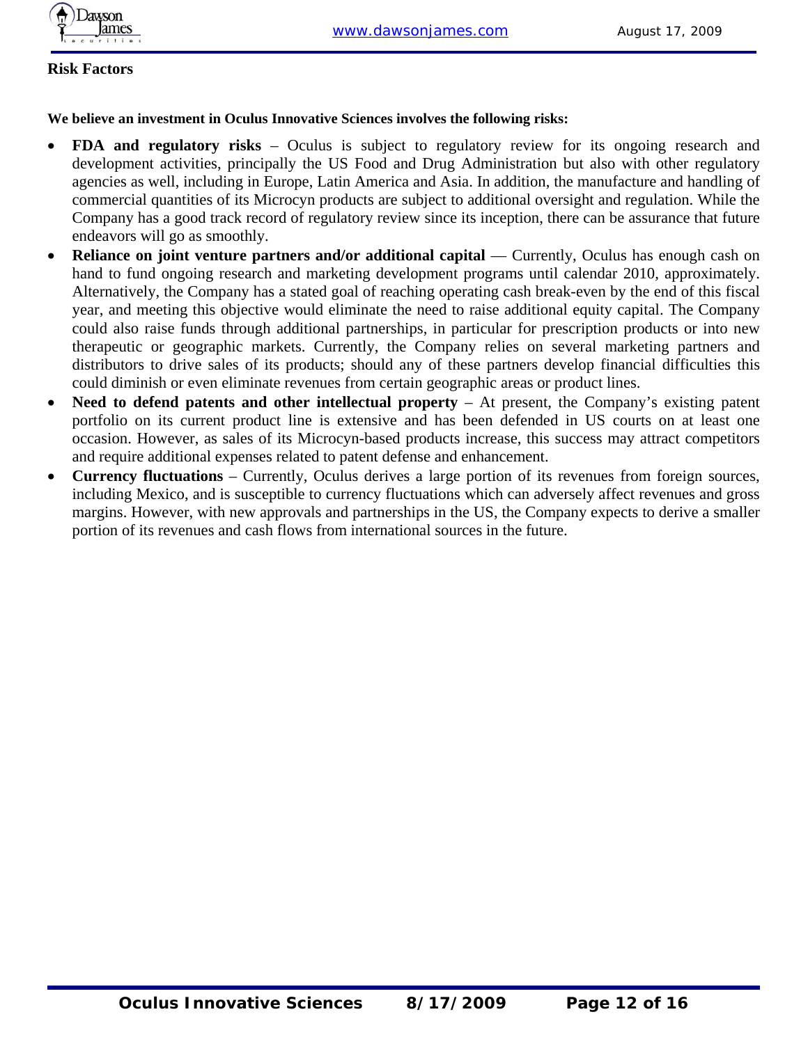

### **Risk Factors**

#### **We believe an investment in Oculus Innovative Sciences involves the following risks:**

- **FDA and regulatory risks** Oculus is subject to regulatory review for its ongoing research and development activities, principally the US Food and Drug Administration but also with other regulatory agencies as well, including in Europe, Latin America and Asia. In addition, the manufacture and handling of commercial quantities of its Microcyn products are subject to additional oversight and regulation. While the Company has a good track record of regulatory review since its inception, there can be assurance that future endeavors will go as smoothly.
- **Reliance on joint venture partners and/or additional capital** Currently, Oculus has enough cash on hand to fund ongoing research and marketing development programs until calendar 2010, approximately. Alternatively, the Company has a stated goal of reaching operating cash break-even by the end of this fiscal year, and meeting this objective would eliminate the need to raise additional equity capital. The Company could also raise funds through additional partnerships, in particular for prescription products or into new therapeutic or geographic markets. Currently, the Company relies on several marketing partners and distributors to drive sales of its products; should any of these partners develop financial difficulties this could diminish or even eliminate revenues from certain geographic areas or product lines.
- **Need to defend patents and other intellectual property** At present, the Company's existing patent portfolio on its current product line is extensive and has been defended in US courts on at least one occasion. However, as sales of its Microcyn-based products increase, this success may attract competitors and require additional expenses related to patent defense and enhancement.
- **Currency fluctuations**  Currently, Oculus derives a large portion of its revenues from foreign sources, including Mexico, and is susceptible to currency fluctuations which can adversely affect revenues and gross margins. However, with new approvals and partnerships in the US, the Company expects to derive a smaller portion of its revenues and cash flows from international sources in the future.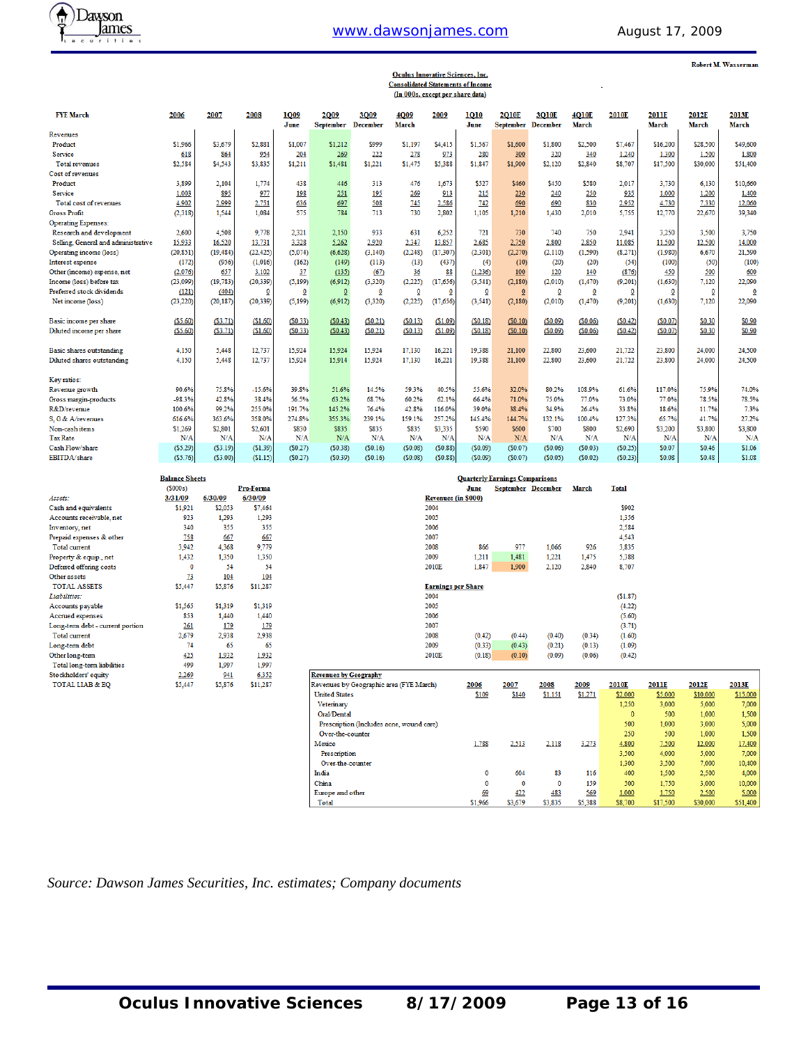## www.dawsonjames.com August 17, 2009



Robert M. Wasserman

# **Oculus Innovative Sciences, Inc.<br>Consolidated Statements of Income<br>(In 000s, except per share data)**

| <b>FYE March</b>                    | 2006      | 2007      | 2008        | <b>1009</b> | 2009             | 3009                    | <b>4009</b>             | 2009           | 1010           | <b>2010E</b>   | 3010E                     | 4010E                   | 2010E                   | <b>2011E</b> | 2012E        | 2013E    |
|-------------------------------------|-----------|-----------|-------------|-------------|------------------|-------------------------|-------------------------|----------------|----------------|----------------|---------------------------|-------------------------|-------------------------|--------------|--------------|----------|
|                                     |           |           |             | June        | <b>September</b> | <b>December</b>         | March                   |                | June           |                | <b>September December</b> | <b>March</b>            |                         | <b>March</b> | <b>March</b> | March    |
| Revenues                            |           |           |             |             |                  |                         |                         |                |                |                |                           |                         |                         |              |              |          |
| Product                             | \$1,966   | \$3,679   | \$2,881     | \$1,007     | \$1.212          | \$999                   | \$1,197                 | \$4,415        | \$1,567        | \$1,600        | \$1,800                   | \$2,500                 | \$7,467                 | \$16,200     | \$28,500     | \$49,600 |
| Service                             | 618       | 864       | 954         | 204         | 269              | 222                     | 278                     | 973            | 280            | 300            | 320                       | 340                     | 1,240                   | 1,300        | 1,500        | 1,800    |
| <b>Total revenues</b>               | \$2,584   | \$4,543   | \$3,835     | \$1,211     | \$1,481          | \$1,221                 | \$1,475                 | \$5,388        | \$1,847        | \$1,900        | \$2,120                   | \$2,840                 | \$8,707                 | \$17,500     | \$30,000     | \$51,400 |
| Cost of revenues                    |           |           |             |             |                  |                         |                         |                |                |                |                           |                         |                         |              |              |          |
| Product                             | 3,899     | 2,104     | 1,774       | 438         | 446              | 313                     | 476                     | 1.673          | \$527          | \$460          | \$450                     | \$580                   | 2,017                   | 3,730        | 6.130        | \$10,660 |
| Service                             | 1,003     | 895       | 977         | 198         | 251              | 195                     | 269                     | 913            | 215            | 230            | 240                       | 250                     | 935                     | 1,000        | 1.200        | 1,400    |
| Total cost of revenues              | 4,902     | 2,999     | 2,751       | 636         | 697              | 508                     | 745                     | 2,586          | 742            | 690            | 690                       | 830                     | 2,952                   | 4,730        | 7,330        | 12,060   |
| <b>Gross Profit</b>                 | (2, 318)  | 1.544     | 1,084       | 575         | 784              | 713                     | 730                     | 2,802          | 1,105          | 1,210          | 1,430                     | 2,010                   | 5,755                   | 12,770       | 22,670       | 39,340   |
| <b>Operating Expenses:</b>          |           |           |             |             |                  |                         |                         |                |                |                |                           |                         |                         |              |              |          |
| Research and development            | 2,600     | 4,508     | 9,778       | 2,321       | 2,150            | 933                     | 631                     | 6,252          | 721            | 730            | 740                       | 750                     | 2,941                   | 3,250        | 3,500        | 3,750    |
| Selling, General and administrative | 15,933    | 16,520    | 13,731      | 3,328       | 5.262            | 2,920                   | 2,347                   | 13,857         | 2,685          | 2,750          | 2,800                     | 2,850                   | 11,085                  | 11.500       | 12,500       | 14,000   |
| Operating income (loss)             | (20, 851) | (19, 484) | (22, 425)   | (5,074)     | (6,628)          | (3, 140)                | (2, 248)                | (17, 307)      | (2, 301)       | (2,270)        | (2, 110)                  | (1, 590)                | (8,271)                 | (1,980)      | 6,670        | 21,590   |
| Interest expense                    | (172)     | (956)     | (1,016)     | (162)       | (149)            | (113)                   | (13)                    | (437)          | (4)            | (10)           | (20)                      | (20)                    | (54)                    | (100)        | (50)         | (100)    |
| Other (income) expense, net         | (2,076)   | 657       | 3,102       | 37          | (135)            | (67)                    | 36                      | 88             | (1,236)        | 100            | 120                       | 140                     | (876)                   | 450          | 500          | 600      |
| Income (loss) before tax            | (23,099)  | (19, 783) | (20, 339)   | (5, 199)    | (6, 912)         | (3, 320)                | (2, 225)                | (17,656)       | (3, 541)       | (2,180)        | (2,010)                   | (1, 470)                | (9,201)                 | (1,630)      | 7,120        | 22,090   |
| Preferred stock dividends           | (121)     | (404)     | $\mathbf 0$ | 0           | $\overline{0}$   | $\overline{\mathbf{0}}$ | $\overline{\mathbf{0}}$ | $\overline{0}$ | $\overline{0}$ | $\overline{0}$ | $\overline{\mathbf{0}}$   | $\overline{\mathbf{0}}$ | $\overline{\mathbf{0}}$ | $\mathbf 0$  | $\bf{0}$     | 0        |
| Net income (loss)                   | (23, 220) | (20, 187) | (20, 339)   | (5, 199)    | (6.912)          | (3,320)                 | (2,225)                 | (17,656)       | (3, 541)       | (2,180)        | (2,010)                   | (1, 470)                | (9,201)                 | (1,630)      | 7,120        | 22,090   |
| Basic income per share              | (55.60)   | (S3.71)   | (\$1.60)    | (S0.33)     | (S0.43)          | (S0.21)                 | (S0.13)                 | (S1.09)        | (S0.18)        | (S0.10)        | (S0.09)                   | (50.06)                 | (S0.42)                 | (S0.07)      | \$0.30       | \$0.90   |
| Diluted income per share            | (S5.60)   | (S3.71)   | (S1.60)     | (S0.33)     | (S0.43)          | (S0.21)                 | (S0.13)                 | (S1.09)        | (S0.18)        | (S0.10)        | (50.09)                   | (S0.06)                 | (S0.42)                 | (S0.07)      | \$0.30       | \$0.90   |
| <b>Basic shares outstanding</b>     | 4,150     | 5.448     | 12,737      | 15,924      | 15,924           | 15,924                  | 17,130                  | 16,221         | 19.388         | 21,100         | 22,800                    | 23,600                  | 21,722                  | 23,800       | 24,000       | 24,500   |
| Diluted shares outstanding          | 4,150     | 5.448     | 12,737      | 15.924      | 15.914           | 15.924                  | 17,130                  | 16.221         | 19.388         | 21.100         | 22,800                    | 23,600                  | 21.722                  | 23,800       | 24,000       | 24,500   |
| Key ratios:                         |           |           |             |             |                  |                         |                         |                |                |                |                           |                         |                         |              |              |          |
| Revenue growth                      | 90.6%     | 75.8%     | $-15.6%$    | 39.8%       | 51.6%            | 14.5%                   | 59.3%                   | 40.5%          | 55.6%          | 32.0%          | 80.2%                     | 108.9%                  | 61.6%                   | 117.0%       | 75.9%        | 74.0%    |
| Gross margin-products               | $-98.3%$  | 42.8%     | 38.4%       | 56.5%       | 63.2%            | 68.7%                   | 60.2%                   | 62.1%          | 66.4%          | 71.0%          | 75.0%                     | 77.0%                   | 73.0%                   | 77.0%        | 78.5%        | 78.5%    |
| R&D/revenue                         | 100.6%    | 99.2%     | 255.0%      | 191.7%      | 145.2%           | 76.4%                   | 42.8%                   | 116.0%         | 39.0%          | 38.4%          | 34.9%                     | 26.4%                   | 33.8%                   | 18.6%        | 11.7%        | 7.3%     |
| S. G & A/revenues                   | 616.6%    | 363.6%    | 358.0%      | 274.8%      | 355.3%           | 239.1%                  | 159.1%                  | 257.2%         | 145.4%         | 144.7%         | 132.1%                    | 100.4%                  | 127.3%                  | 65.7%        | 41.7%        | 27.2%    |
| Non-cash items                      | \$1,269   | \$2,801   | \$2,601     | \$830       | \$835            | \$835                   | \$835                   | \$3,335        | \$590          | \$600          | \$700                     | \$800                   | \$2,690                 | \$3,200      | \$3,800      | \$3,800  |
| <b>Tax Rate</b>                     | N/A       | N/A       | N/A         | N/A         | N/A              | N/A                     | N/A                     | N/A            | N/A            | N/A            | N/A                       | N/A                     | N/A                     | N/A          | N/A          | N/A      |
| Cash Flow/share                     | (S5.29)   | (S3.19)   | (S1.39)     | (S0.27)     | (S0.38)          | (S0.16)                 | (S0.08)                 | (S0.88)        | (S0.09)        | (S0.07)        | (S0.06)                   | (S0.03)                 | (50.25)                 | \$0.07       | \$0.46       | \$1.06   |
| EBITDA/share                        | (S5.76)   | (S3.00)   | (S1.15)     | (S0.27)     | (S0.39)          | (S0.16)                 | (50.08)                 | (S0.88)        | (S0.09)        | (S0.07)        | (S0.05)                   | (S0.02)                 | (S0.23)                 | \$0.08       | \$0.48       | \$1.08   |

|                                  | <b>Balance Sheets</b> |         |           |
|----------------------------------|-----------------------|---------|-----------|
|                                  | (S000s)               |         | Pro-Forma |
| Assets:                          | 3/31/09               | 6/30/09 | 6/30/09   |
| Cash and equivalents             | \$1.921               | \$2,053 | \$7,464   |
| Accounts receivable, net         | 923                   | 1.293   | 1.293     |
| Inventory, net                   | 340                   | 355     | 355       |
| Prepaid expenses & other         | 758                   | 667     | 667       |
| <b>Total current</b>             | 3.942                 | 4,368   | 9,779     |
| Property & equip., net           | 1.432                 | 1,350   | 1,350     |
| Deferred offering costs          | O                     | 54      | 54        |
| Other assets                     | <u>73</u>             | 104     | 104       |
| <b>TOTAL ASSETS</b>              | \$5,447               | \$5,876 | \$11,287  |
| Liabilities:                     |                       |         |           |
| Accounts payable                 | \$1,565               | \$1,319 | \$1,319   |
| Accrued expenses                 | 853                   | 1,440   | 1,440     |
| Long-term debt - current portion | 261                   | 179     | 179       |
| <b>Total current</b>             | 2.679                 | 2,938   | 2,938     |
| Long-term debt                   | 74                    | 65      | 65        |
| Other long-term                  | 425                   | 1,932   | 1,932     |
| Total long-term liabilities      | 499                   | 1,997   | 1,997     |
| Stockholders' equity             | 2.269                 | 941     | 6,352     |
| <b>TOTAL LIAB &amp; EO</b>       | \$5,447               | \$5,876 | \$11,287  |

| <b>Quarterly Earnings Comparisons</b> |        |        |                           |        |              |  |  |  |  |  |  |
|---------------------------------------|--------|--------|---------------------------|--------|--------------|--|--|--|--|--|--|
|                                       | June   |        | <b>September December</b> | March  | <b>Total</b> |  |  |  |  |  |  |
| <b>Revenues (in \$000)</b>            |        |        |                           |        |              |  |  |  |  |  |  |
| 2004                                  |        |        |                           |        | \$902        |  |  |  |  |  |  |
| 2005                                  |        |        |                           |        | 1,356        |  |  |  |  |  |  |
| 2006                                  |        |        |                           |        | 2,584        |  |  |  |  |  |  |
| 2007                                  |        |        |                           |        | 4,543        |  |  |  |  |  |  |
| 2008                                  | 866    | 977    | 1.066                     | 926    | 3.835        |  |  |  |  |  |  |
| 2009                                  | 1,211  | 1,481  | 1.221                     | 1,475  | 5,388        |  |  |  |  |  |  |
| 2010E                                 | 1,847  | 1,900  | 2,120                     | 2,840  | 8,707        |  |  |  |  |  |  |
| <b>Earnings per Share</b>             |        |        |                           |        |              |  |  |  |  |  |  |
| 2004                                  |        |        |                           |        | (S1.87)      |  |  |  |  |  |  |
| 2005                                  |        |        |                           |        | (4.22)       |  |  |  |  |  |  |
| 2006                                  |        |        |                           |        | (5.60)       |  |  |  |  |  |  |
| 2007                                  |        |        |                           |        | (3.71)       |  |  |  |  |  |  |
| 2008                                  | (0.42) | (0.44) | (0.40)                    | (0.34) | (1.60)       |  |  |  |  |  |  |
| 2009                                  | (0.33) | (0.43) | (0.21)                    | (0.13) | (1.09)       |  |  |  |  |  |  |
| 2010E                                 | (0.18) | (0.10) | (0.09)                    | (0.06) | (0.42)       |  |  |  |  |  |  |

| <b>Revenues by Geography</b>             |         |         |         |         |          |              |          |          |
|------------------------------------------|---------|---------|---------|---------|----------|--------------|----------|----------|
| Revenues by Geographic area (FYE March)  | 2006    | 2007    | 2008    | 2009    | 2010E    | <b>2011E</b> | 2012E    | 2013E    |
| <b>United States</b>                     | \$109   | \$140   | \$1,151 | \$1,271 | \$2,000  | \$5,000      | \$10,000 | \$15,000 |
| Veterinary                               |         |         |         |         | 1,250    | 3,000        | 5.000    | 7,000    |
| Oral/Dental                              |         |         |         |         | $\bf{0}$ | 500          | 1.000    | 1,500    |
| Prescription (Includes acne, wound care) |         |         |         |         | 500      | 1,000        | 3,000    | 5,000    |
| Over-the-counter                         |         |         |         |         | 250      | 500          | 1,000    | 1.500    |
| Mexico                                   | 1,788   | 2,513   | 2,118   | 3,273   | 4,800    | 7,500        | 12,000   | 17,400   |
| Prescription                             |         |         |         |         | 3.500    | 4,000        | 5.000    | 7,000    |
| Over-the-counter                         |         |         |         |         | 1,300    | 3,500        | 7.000    | 10,400   |
| India                                    | 0       | 604     | 83      | 116     | 400      | 1,500        | 2.500    | 4,000    |
| China                                    | 0       | 0       | 0       | 159     | 500      | 1,750        | 3.000    | 10,000   |
| Europe and other                         | 69      | 422     | 483     | 569     | 1,000    | 1,750        | 2,500    | 5,000    |
| Total                                    | \$1,966 | \$3.679 | \$3,835 | \$5,388 | \$8.700  | \$17,500     | \$30,000 | \$51.400 |

*Source: Dawson James Securities, Inc. estimates; Company documents*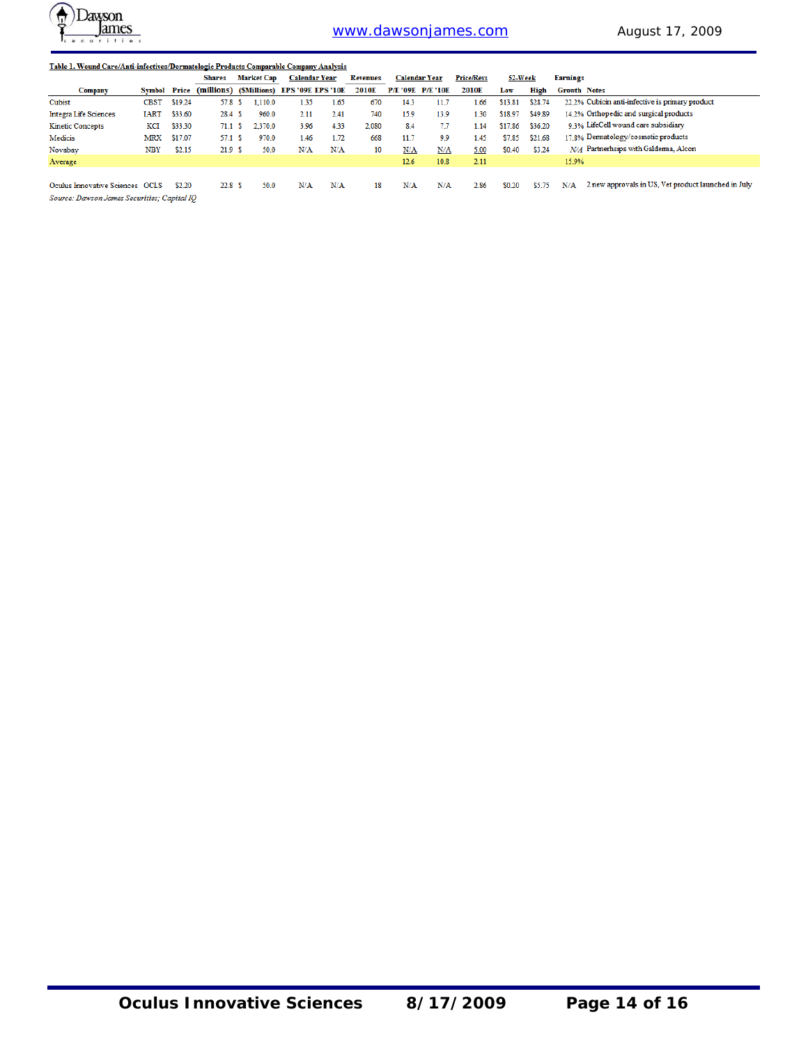

| Table 1. Wound Care/Anti-infectives/Dermatologic Products Comparable Company Analysis |                     |         |               |                   |         |                                          |      |                 |      |                          |                   |         |         |                                                            |
|---------------------------------------------------------------------------------------|---------------------|---------|---------------|-------------------|---------|------------------------------------------|------|-----------------|------|--------------------------|-------------------|---------|---------|------------------------------------------------------------|
|                                                                                       |                     |         | <b>Shares</b> | <b>Market Cap</b> |         | <b>Calendar Year</b>                     |      | <b>Revenues</b> |      | <b>Calendar Year</b>     | <b>Price/Revs</b> | 52-Week |         | <b>Earnings</b>                                            |
| <b>Company</b>                                                                        | <b>Symbol Price</b> |         |               |                   |         | (millions) (SMillions) EPS '09E EPS '10E |      | 2010E           |      | <b>P/E '09E P/E '10E</b> | 2010E             | Low     | High    | <b>Growth Notes</b>                                        |
| Cubist                                                                                | <b>CBST</b>         | \$19.24 | 57.8 S        |                   | 1,110.0 | 1.35                                     | 1.65 | 670             | 14.3 | 11.1                     | 1.66              | \$13.81 | \$28.74 | 22.2% Cubicin anti-infective is primary product            |
| <b>Integra Life Sciences</b>                                                          | <b>IART</b>         | \$33.60 | 28.4 S        |                   | 960.0   | 2.11                                     | 2.41 | 740             | 15.9 | 13.9                     | 1.30              | \$18.97 | \$49.89 | 14.2% Orthopedic and surgical products                     |
| <b>Kinetic Concepts</b>                                                               | KCI                 | \$33.30 | 71.1 S        |                   | 2,370.0 | 3.96                                     | 4.33 | 2.080           | 8.4  | 7.7                      | 1.14              | \$17.86 | \$36.20 | 9 3% LifeCell wound care subsidiary                        |
| Medicis                                                                               | <b>MRX</b>          | \$17.07 | 57.1 S        |                   | 970.0   | 1.46                                     | 1.72 | 668             | 11.7 | 9.9                      | 1.45              | \$7.85  | \$21.68 | 17.8% Dermatology/cosmetic products                        |
| Novabay                                                                               | <b>NBY</b>          | \$2.15  | 21.9 S        |                   | 50.0    | N/A                                      | N/A  | 10              | N/A  | N/A                      | 5.00              | \$0.40  | \$3.24  | N/A Partnerhsips with Galderma, Alcon                      |
| Average                                                                               |                     |         |               |                   |         |                                          |      |                 | 12.6 | 10.8                     | 2.11              |         |         | 15.9%                                                      |
|                                                                                       |                     |         |               |                   |         |                                          |      |                 |      |                          |                   |         |         |                                                            |
| Oculus Innovative Sciences OCLS                                                       |                     | \$2.20  | 22.8 S        |                   | 50.0    | N/A                                      | N/A  | 18              | N/A  | N/A                      | 2.86              | \$0.20  | \$5.75  | 2 new approvals in US. Vet product launched in July<br>N/A |
| Source: Dawson James Securities: Capital IO                                           |                     |         |               |                   |         |                                          |      |                 |      |                          |                   |         |         |                                                            |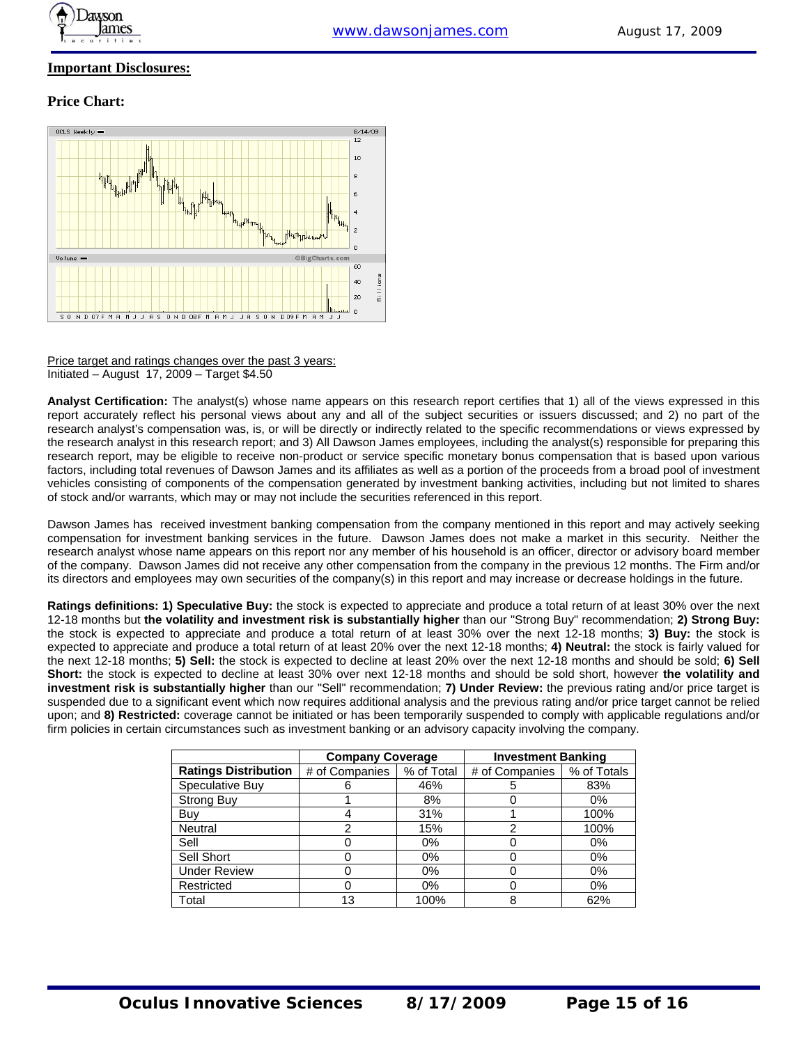

#### **Important Disclosures:**

#### **Price Chart:**



Price target and ratings changes over the past 3 years: Initiated – August 17, 2009 – Target \$4.50

**Analyst Certification:** The analyst(s) whose name appears on this research report certifies that 1) all of the views expressed in this report accurately reflect his personal views about any and all of the subject securities or issuers discussed; and 2) no part of the research analyst's compensation was, is, or will be directly or indirectly related to the specific recommendations or views expressed by the research analyst in this research report; and 3) All Dawson James employees, including the analyst(s) responsible for preparing this research report, may be eligible to receive non-product or service specific monetary bonus compensation that is based upon various factors, including total revenues of Dawson James and its affiliates as well as a portion of the proceeds from a broad pool of investment vehicles consisting of components of the compensation generated by investment banking activities, including but not limited to shares of stock and/or warrants, which may or may not include the securities referenced in this report.

Dawson James has received investment banking compensation from the company mentioned in this report and may actively seeking compensation for investment banking services in the future. Dawson James does not make a market in this security. Neither the research analyst whose name appears on this report nor any member of his household is an officer, director or advisory board member of the company. Dawson James did not receive any other compensation from the company in the previous 12 months. The Firm and/or its directors and employees may own securities of the company(s) in this report and may increase or decrease holdings in the future.

**Ratings definitions: 1) Speculative Buy:** the stock is expected to appreciate and produce a total return of at least 30% over the next 12-18 months but **the volatility and investment risk is substantially higher** than our "Strong Buy" recommendation; **2) Strong Buy:** the stock is expected to appreciate and produce a total return of at least 30% over the next 12-18 months; **3) Buy:** the stock is expected to appreciate and produce a total return of at least 20% over the next 12-18 months; **4) Neutral:** the stock is fairly valued for the next 12-18 months; **5) Sell:** the stock is expected to decline at least 20% over the next 12-18 months and should be sold; **6) Sell Short:** the stock is expected to decline at least 30% over next 12-18 months and should be sold short, however **the volatility and investment risk is substantially higher** than our "Sell" recommendation; **7) Under Review:** the previous rating and/or price target is suspended due to a significant event which now requires additional analysis and the previous rating and/or price target cannot be relied upon; and **8) Restricted:** coverage cannot be initiated or has been temporarily suspended to comply with applicable regulations and/or firm policies in certain circumstances such as investment banking or an advisory capacity involving the company.

|                             | <b>Company Coverage</b> |            | <b>Investment Banking</b> |             |
|-----------------------------|-------------------------|------------|---------------------------|-------------|
| <b>Ratings Distribution</b> | # of Companies          | % of Total | # of Companies            | % of Totals |
| Speculative Buy             | n                       | 46%        | 5                         | 83%         |
| <b>Strong Buy</b>           |                         | 8%         |                           | $0\%$       |
| Buy                         |                         | 31%        |                           | 100%        |
| Neutral                     | 2                       | 15%        | 2                         | 100%        |
| Sell                        |                         | 0%         |                           | 0%          |
| Sell Short                  |                         | $0\%$      |                           | $0\%$       |
| <b>Under Review</b>         |                         | 0%         |                           | 0%          |
| Restricted                  |                         | 0%         |                           | 0%          |
| Total                       | 13                      | 100%       | 8                         | 62%         |